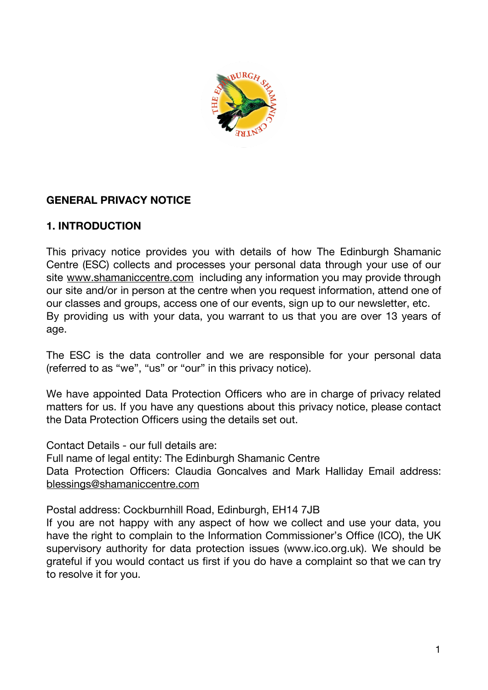

## **GENERAL PRIVACY NOTICE**

### **1. INTRODUCTION**

This privacy notice provides you with details of how The Edinburgh Shamanic Centre (ESC) collects and processes your personal data through your use of our site [www.shamaniccentre.com](http://www.shamaniccentre.com/) including any information you may provide through our site and/or in person at the centre when you request information, attend one of our classes and groups, access one of our events, sign up to our newsletter, etc. By providing us with your data, you warrant to us that you are over 13 years of age.

The ESC is the data controller and we are responsible for your personal data (referred to as "we", "us" or "our" in this privacy notice).

We have appointed Data Protection Officers who are in charge of privacy related matters for us. If you have any questions about this privacy notice, please contact the Data Protection Officers using the details set out.

Contact Details - our full details are:

Full name of legal entity: The Edinburgh Shamanic Centre Data Protection Officers: Claudia Goncalves and Mark Halliday Email address: [blessings@shamaniccentre.com](mailto:blessings@shamaniccentre.com)

Postal address: Cockburnhill Road, Edinburgh, EH14 7JB

If you are not happy with any aspect of how we collect and use your data, you have the right to complain to the Information Commissioner's Office (ICO), the UK supervisory authority for data protection issues (www.ico.org.uk). We should be grateful if you would contact us first if you do have a complaint so that we can try to resolve it for you.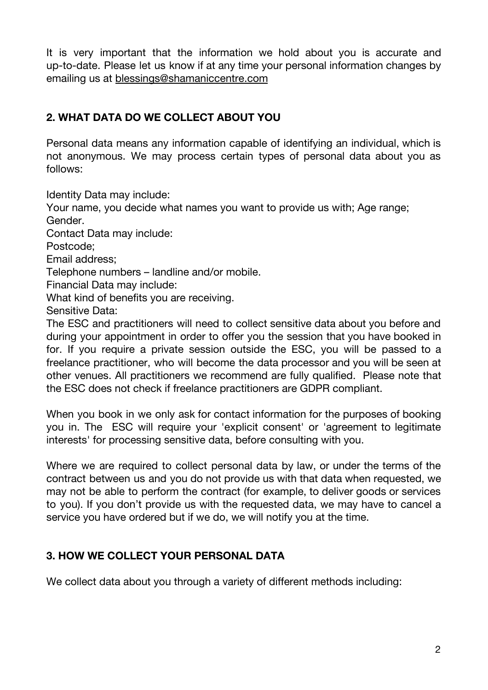It is very important that the information we hold about you is accurate and up-to-date. Please let us know if at any time your personal information changes by emailing us at [blessings@shamaniccentre.com](mailto:blessings@shamaniccentre.com)

# **2. WHAT DATA DO WE COLLECT ABOUT YOU**

Personal data means any information capable of identifying an individual, which is not anonymous. We may process certain types of personal data about you as follows:

Identity Data may include:

Your name, you decide what names you want to provide us with; Age range; Gender.

Contact Data may include:

Postcode;

Email address;

Telephone numbers – landline and/or mobile.

Financial Data may include:

What kind of benefits you are receiving.

Sensitive Data:

The ESC and practitioners will need to collect sensitive data about you before and during your appointment in order to offer you the session that you have booked in for. If you require a private session outside the ESC, you will be passed to a freelance practitioner, who will become the data processor and you will be seen at other venues. All practitioners we recommend are fully qualified. Please note that the ESC does not check if freelance practitioners are GDPR compliant.

When you book in we only ask for contact information for the purposes of booking you in. The ESC will require your 'explicit consent' or 'agreement to legitimate interests' for processing sensitive data, before consulting with you.

Where we are required to collect personal data by law, or under the terms of the contract between us and you do not provide us with that data when requested, we may not be able to perform the contract (for example, to deliver goods or services to you). If you don't provide us with the requested data, we may have to cancel a service you have ordered but if we do, we will notify you at the time.

# **3. HOW WE COLLECT YOUR PERSONAL DATA**

We collect data about you through a variety of different methods including: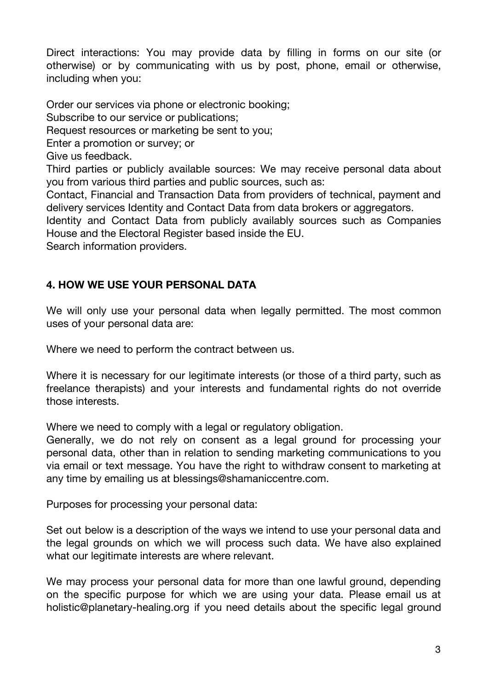Direct interactions: You may provide data by filling in forms on our site (or otherwise) or by communicating with us by post, phone, email or otherwise, including when you:

Order our services via phone or electronic booking; Subscribe to our service or publications; Request resources or marketing be sent to you; Enter a promotion or survey; or Give us feedback. Third parties or publicly available sources: We may receive personal data about you from various third parties and public sources, such as: Contact, Financial and Transaction Data from providers of technical, payment and delivery services Identity and Contact Data from data brokers or aggregators. Identity and Contact Data from publicly availably sources such as Companies House and the Electoral Register based inside the EU.

Search information providers.

## **4. HOW WE USE YOUR PERSONAL DATA**

We will only use your personal data when legally permitted. The most common uses of your personal data are:

Where we need to perform the contract between us.

Where it is necessary for our legitimate interests (or those of a third party, such as freelance therapists) and your interests and fundamental rights do not override those interests.

Where we need to comply with a legal or regulatory obligation.

Generally, we do not rely on consent as a legal ground for processing your personal data, other than in relation to sending marketing communications to you via email or text message. You have the right to withdraw consent to marketing at any time by emailing us at blessings@shamaniccentre.com.

Purposes for processing your personal data:

Set out below is a description of the ways we intend to use your personal data and the legal grounds on which we will process such data. We have also explained what our legitimate interests are where relevant.

We may process your personal data for more than one lawful ground, depending on the specific purpose for which we are using your data. Please email us at holistic@planetary-healing.org if you need details about the specific legal ground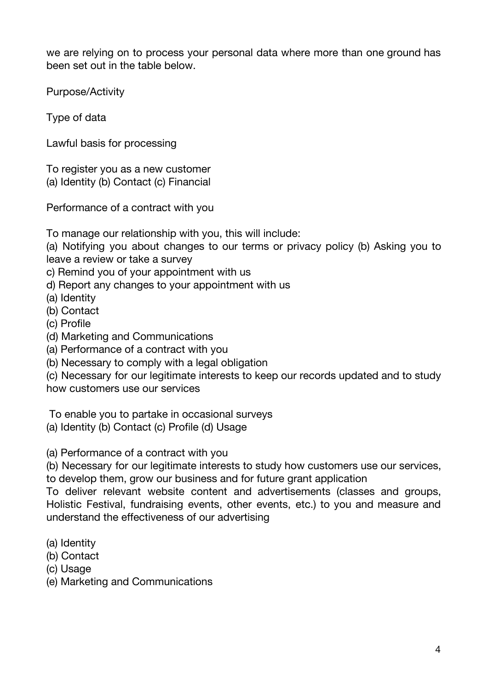we are relying on to process your personal data where more than one ground has been set out in the table below.

Purpose/Activity

Type of data

Lawful basis for processing

To register you as a new customer (a) Identity (b) Contact (c) Financial

Performance of a contract with you

To manage our relationship with you, this will include:

(a) Notifying you about changes to our terms or privacy policy (b) Asking you to leave a review or take a survey

c) Remind you of your appointment with us

d) Report any changes to your appointment with us

(a) Identity

(b) Contact

- (c) Profile
- (d) Marketing and Communications
- (a) Performance of a contract with you
- (b) Necessary to comply with a legal obligation

(c) Necessary for our legitimate interests to keep our records updated and to study how customers use our services

To enable you to partake in occasional surveys

(a) Identity (b) Contact (c) Profile (d) Usage

(a) Performance of a contract with you

(b) Necessary for our legitimate interests to study how customers use our services, to develop them, grow our business and for future grant application

To deliver relevant website content and advertisements (classes and groups, Holistic Festival, fundraising events, other events, etc.) to you and measure and understand the effectiveness of our advertising

- (a) Identity
- (b) Contact
- (c) Usage

(e) Marketing and Communications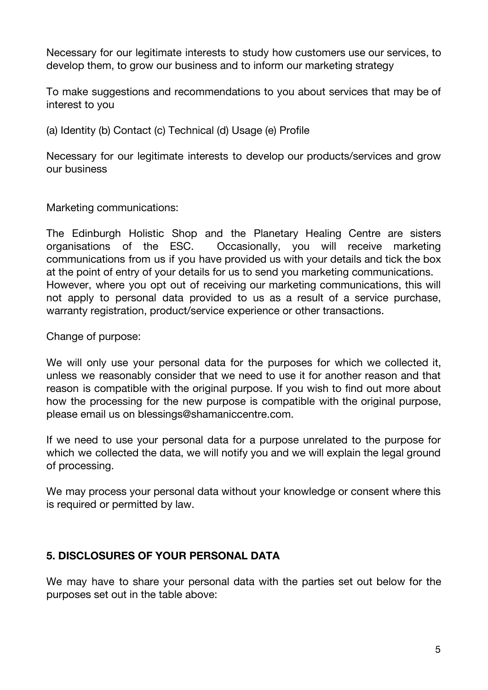Necessary for our legitimate interests to study how customers use our services, to develop them, to grow our business and to inform our marketing strategy

To make suggestions and recommendations to you about services that may be of interest to you

(a) Identity (b) Contact (c) Technical (d) Usage (e) Profile

Necessary for our legitimate interests to develop our products/services and grow our business

Marketing communications:

The Edinburgh Holistic Shop and the Planetary Healing Centre are sisters organisations of the ESC. Occasionally, you will receive marketing communications from us if you have provided us with your details and tick the box at the point of entry of your details for us to send you marketing communications. However, where you opt out of receiving our marketing communications, this will not apply to personal data provided to us as a result of a service purchase, warranty registration, product/service experience or other transactions.

Change of purpose:

We will only use your personal data for the purposes for which we collected it, unless we reasonably consider that we need to use it for another reason and that reason is compatible with the original purpose. If you wish to find out more about how the processing for the new purpose is compatible with the original purpose, please email us on blessings@shamaniccentre.com.

If we need to use your personal data for a purpose unrelated to the purpose for which we collected the data, we will notify you and we will explain the legal ground of processing.

We may process your personal data without your knowledge or consent where this is required or permitted by law.

### **5. DISCLOSURES OF YOUR PERSONAL DATA**

We may have to share your personal data with the parties set out below for the purposes set out in the table above: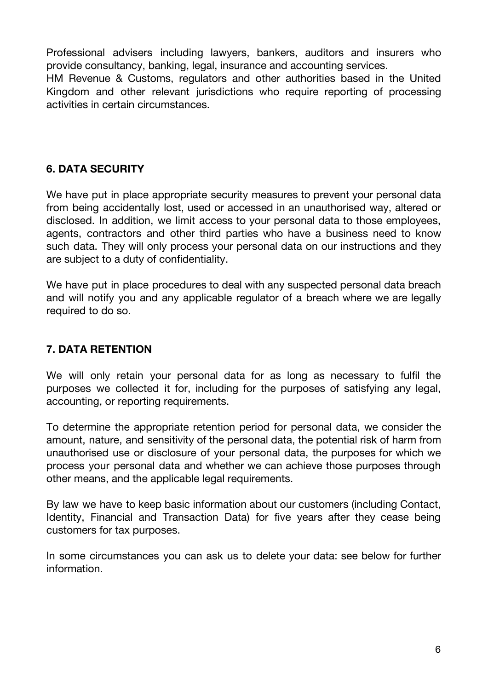Professional advisers including lawyers, bankers, auditors and insurers who provide consultancy, banking, legal, insurance and accounting services.

HM Revenue & Customs, regulators and other authorities based in the United Kingdom and other relevant jurisdictions who require reporting of processing activities in certain circumstances.

## **6. DATA SECURITY**

We have put in place appropriate security measures to prevent your personal data from being accidentally lost, used or accessed in an unauthorised way, altered or disclosed. In addition, we limit access to your personal data to those employees, agents, contractors and other third parties who have a business need to know such data. They will only process your personal data on our instructions and they are subject to a duty of confidentiality.

We have put in place procedures to deal with any suspected personal data breach and will notify you and any applicable regulator of a breach where we are legally required to do so.

### **7. DATA RETENTION**

We will only retain your personal data for as long as necessary to fulfil the purposes we collected it for, including for the purposes of satisfying any legal, accounting, or reporting requirements.

To determine the appropriate retention period for personal data, we consider the amount, nature, and sensitivity of the personal data, the potential risk of harm from unauthorised use or disclosure of your personal data, the purposes for which we process your personal data and whether we can achieve those purposes through other means, and the applicable legal requirements.

By law we have to keep basic information about our customers (including Contact, Identity, Financial and Transaction Data) for five years after they cease being customers for tax purposes.

In some circumstances you can ask us to delete your data: see below for further information.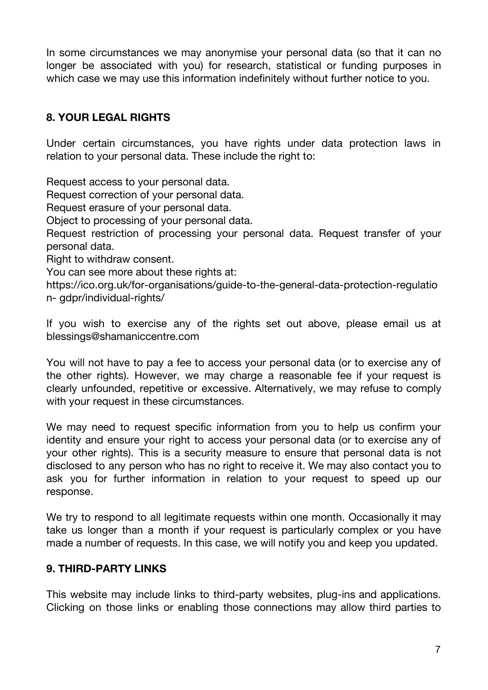In some circumstances we may anonymise your personal data (so that it can no longer be associated with you) for research, statistical or funding purposes in which case we may use this information indefinitely without further notice to you.

## **8. YOUR LEGAL RIGHTS**

Under certain circumstances, you have rights under data protection laws in relation to your personal data. These include the right to:

Request access to your personal data.

Request correction of your personal data.

Request erasure of your personal data.

Object to processing of your personal data.

Request restriction of processing your personal data. Request transfer of your personal data.

Right to withdraw consent.

You can see more about these rights at:

https://ico.org.uk/for-organisations/guide-to-the-general-data-protection-regulatio n- gdpr/individual-rights/

If you wish to exercise any of the rights set out above, please email us at blessings@shamaniccentre.com

You will not have to pay a fee to access your personal data (or to exercise any of the other rights). However, we may charge a reasonable fee if your request is clearly unfounded, repetitive or excessive. Alternatively, we may refuse to comply with your request in these circumstances.

We may need to request specific information from you to help us confirm your identity and ensure your right to access your personal data (or to exercise any of your other rights). This is a security measure to ensure that personal data is not disclosed to any person who has no right to receive it. We may also contact you to ask you for further information in relation to your request to speed up our response.

We try to respond to all legitimate requests within one month. Occasionally it may take us longer than a month if your request is particularly complex or you have made a number of requests. In this case, we will notify you and keep you updated.

#### **9. THIRD-PARTY LINKS**

This website may include links to third-party websites, plug-ins and applications. Clicking on those links or enabling those connections may allow third parties to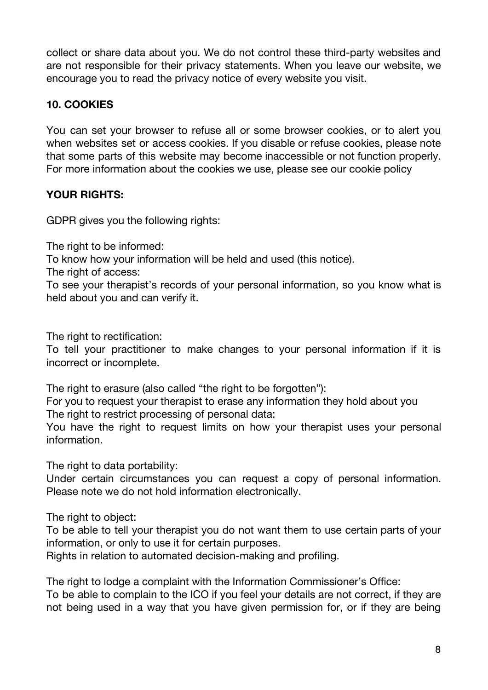collect or share data about you. We do not control these third-party websites and are not responsible for their privacy statements. When you leave our website, we encourage you to read the privacy notice of every website you visit.

## **10. COOKIES**

You can set your browser to refuse all or some browser cookies, or to alert you when websites set or access cookies. If you disable or refuse cookies, please note that some parts of this website may become inaccessible or not function properly. For more information about the cookies we use, please see our cookie policy

## **YOUR RIGHTS:**

GDPR gives you the following rights:

The right to be informed:

To know how your information will be held and used (this notice).

The right of access:

To see your therapist's records of your personal information, so you know what is held about you and can verify it.

The right to rectification:

To tell your practitioner to make changes to your personal information if it is incorrect or incomplete.

The right to erasure (also called "the right to be forgotten"):

For you to request your therapist to erase any information they hold about you The right to restrict processing of personal data:

You have the right to request limits on how your therapist uses your personal information.

The right to data portability:

Under certain circumstances you can request a copy of personal information. Please note we do not hold information electronically.

The right to object:

To be able to tell your therapist you do not want them to use certain parts of your information, or only to use it for certain purposes.

Rights in relation to automated decision-making and profiling.

The right to lodge a complaint with the Information Commissioner's Office: To be able to complain to the ICO if you feel your details are not correct, if they are not being used in a way that you have given permission for, or if they are being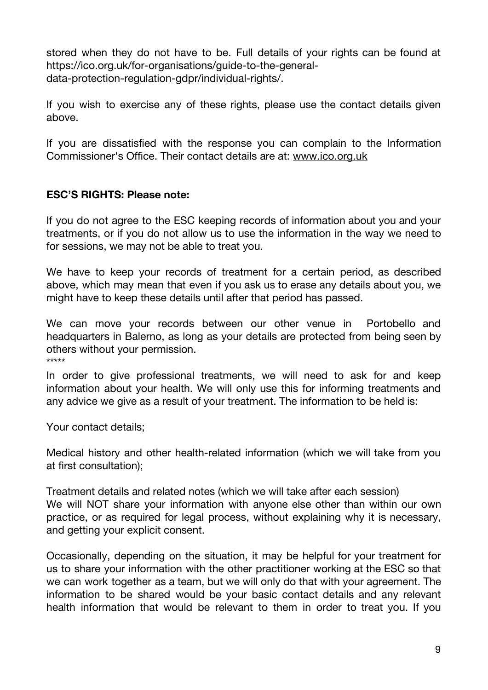stored when they do not have to be. Full details of your rights can be found at https://ico.org.uk/for-organisations/guide-to-the-generaldata-protection-regulation-gdpr/individual-rights/.

If you wish to exercise any of these rights, please use the contact details given above.

If you are dissatisfied with the response you can complain to the Information Commissioner's Office. Their contact details are at: [www.ico.org.uk](http://www.ico.org.uk/)

#### **ESC'S RIGHTS: Please note:**

If you do not agree to the ESC keeping records of information about you and your treatments, or if you do not allow us to use the information in the way we need to for sessions, we may not be able to treat you.

We have to keep your records of treatment for a certain period, as described above, which may mean that even if you ask us to erase any details about you, we might have to keep these details until after that period has passed.

We can move your records between our other venue in Portobello and headquarters in Balerno, as long as your details are protected from being seen by others without your permission. \*\*\*\*\*

In order to give professional treatments, we will need to ask for and keep information about your health. We will only use this for informing treatments and any advice we give as a result of your treatment. The information to be held is:

Your contact details;

Medical history and other health-related information (which we will take from you at first consultation);

Treatment details and related notes (which we will take after each session) We will NOT share your information with anyone else other than within our own practice, or as required for legal process, without explaining why it is necessary, and getting your explicit consent.

Occasionally, depending on the situation, it may be helpful for your treatment for us to share your information with the other practitioner working at the ESC so that we can work together as a team, but we will only do that with your agreement. The information to be shared would be your basic contact details and any relevant health information that would be relevant to them in order to treat you. If you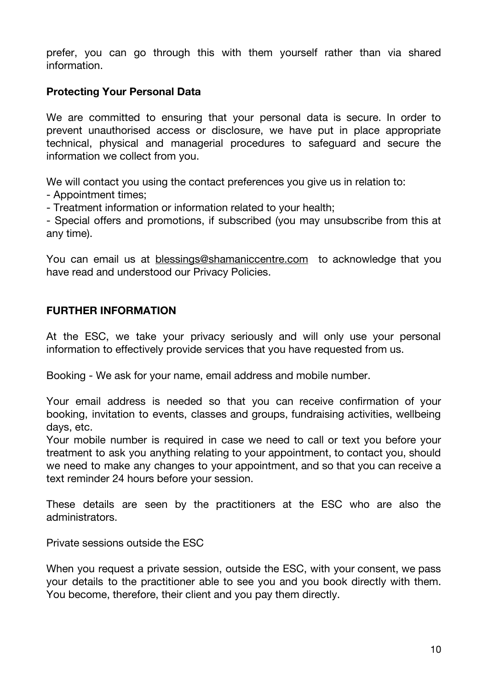prefer, you can go through this with them yourself rather than via shared information.

#### **Protecting Your Personal Data**

We are committed to ensuring that your personal data is secure. In order to prevent unauthorised access or disclosure, we have put in place appropriate technical, physical and managerial procedures to safeguard and secure the information we collect from you.

We will contact you using the contact preferences you give us in relation to:

- Appointment times;

- Treatment information or information related to your health;

- Special offers and promotions, if subscribed (you may unsubscribe from this at any time).

You can email us at [blessings@shamaniccentre.com](mailto:blessings@shamaniccentre.com) to acknowledge that you have read and understood our Privacy Policies.

#### **FURTHER INFORMATION**

At the ESC, we take your privacy seriously and will only use your personal information to effectively provide services that you have requested from us.

Booking - We ask for your name, email address and mobile number.

Your email address is needed so that you can receive confirmation of your booking, invitation to events, classes and groups, fundraising activities, wellbeing days, etc.

Your mobile number is required in case we need to call or text you before your treatment to ask you anything relating to your appointment, to contact you, should we need to make any changes to your appointment, and so that you can receive a text reminder 24 hours before your session.

These details are seen by the practitioners at the ESC who are also the administrators.

Private sessions outside the ESC

When you request a private session, outside the ESC, with your consent, we pass your details to the practitioner able to see you and you book directly with them. You become, therefore, their client and you pay them directly.